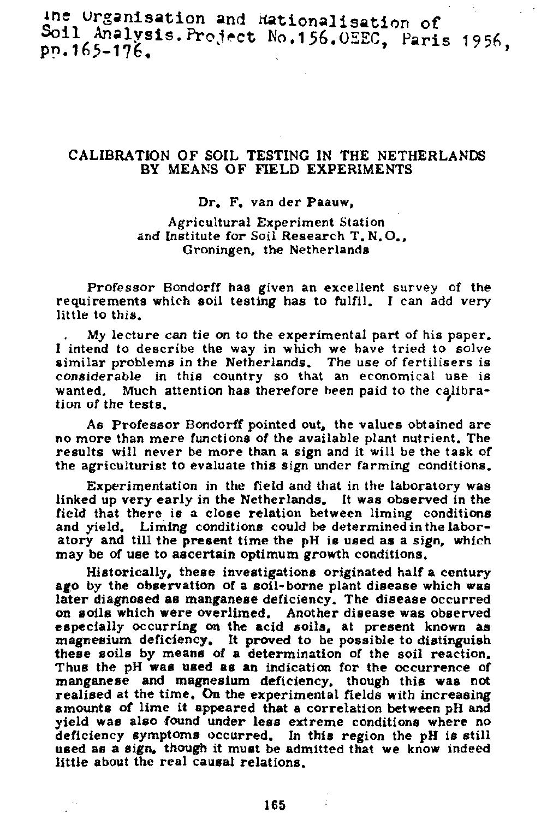ine urganisation and Hationalisation of Soil Analysis. Project No.156. ÜEEC, Paris 1956,

## CALIBRATION OF SOIL TESTING IN THE NETHERLANDS BY MEANS OF FIELD EXPERIMENTS

## Dr. F. van der Paauw.

Agricultural Experiment Station and Institute for Soil Research T. N.O., Groningen, the Netherlands

Professor Bondorff has given an excellent survey of the requirements which soil testing has to fulfil. I can add very little to this.

My lecture can tie *on* to the experimental part of his paper. I intend to describe the way in which we have tried to solve similar problems in the Netherlands. The use of fertilisers is considerable in this country so that an economical use is Much attention has therefore been paid to the calibration of the tests.

As Professor Bondorff pointed out, the values obtained are no more than mere functions of the available plant nutrient. The results will never be more than a sign and it will be the task of the agriculturist to evaluate this sign under farming conditions.

Experimentation in the field and that in the laboratory was linked up very early in the Netherlands. It was observed in the field that there is a close relation between liming conditions and yield. Liming conditions could be determined in the laboratory and till the present time the pH is used as a sign, which may be of use to ascertain optimum growth conditions.

Historically, these investigations originated half a century ago by the observation of a soil-borne plant disease which was later diagnosed as manganese deficiency. The disease occurred on soils which were overlimed. Another disease was observed especially occurring on the acid soils, at present known as magnesium deficiency. It proved to be possible to distinguish these soils by means of a determination of the soil reaction. Thus the pH was used as an indication for the occurrence of manganese and magnesium deficiency, though this was realised at the time. On the experimental fields with increasing amounts of lime it appeared that a correlation between pH and yield was also found under less extreme conditions where no deficiency symptoms occurred. In this region the pH is still used as a sign, though it must be admitted that we know indeed little about the real causal relations.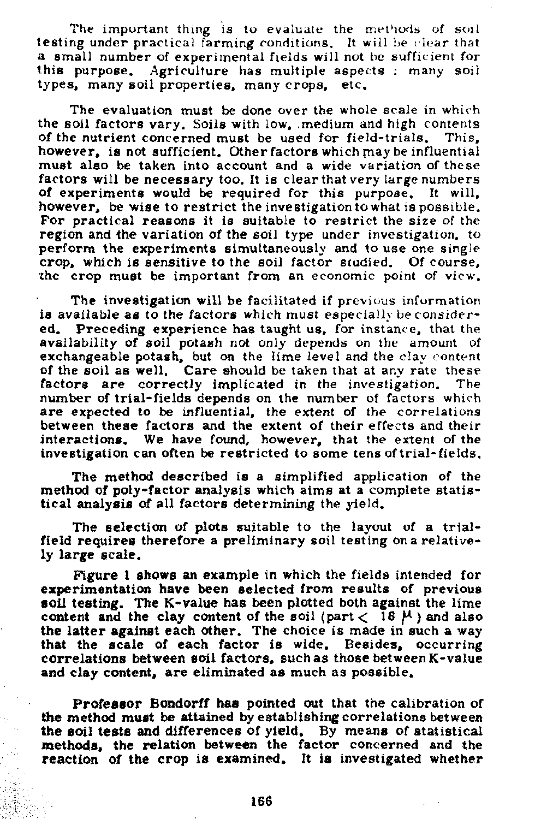The important thing is to evaluate the methods of soil testing under practical farming conditions. It wii! be clear that a small number of experimental fields will not be sufficient for<br>this purpose. Agriculture has multiple aspects : many soil Agriculture has multiple aspects : many soil types, many soil properties, many crops, etc.

The evaluation must be done over the whole scale in which the soil factors vary. Soils with low, medium and high contents of the nutrient concerned must be used for field-trials. This. of the nutrient concerned must be used for field-trials. however, is not sufficient. Other factors which may be influential must also be taken into account and a wide variation of these factors will be necessary too. It is clear that very large numbers of experiments would be required for this purpose. It will, however, be wise to restrict the investigation to what is possible. For practical reasons it is suitable to restrict the size of the region and the variation of the soil type under investigation, to perform the experiments simultaneously and to use one single crop, which is sensitive to the soil factor studied. Of course, the crop must be important from an economic point of view.

The investigation will be facilitated if previous information is available as to the factors which must especially be considered. Preceding experience has taught us, for instance, that the availability of soil potash not only depends on the amount of exchangeable potash, but on the lime level and the clay content of the soil as well. Care should be taken that at any rate these factors are correctly implicated in the investigation. The number of trial-fields depends on the number of factors which are expected to be influential, the extent of the correlations between these factors and the extent of their effects and their interactions. We have found, however, that the extent of the investigation can often be restricted to some tens of trial-fields.

The method described is a simplified application of the method of poly-factor analysis which aims at a complete statistical analysis of all factors determining the yield.

The selection of plots suitable to the layout of a trialfield requires therefore a preliminary soil testing on a relatively large scale.

Figure I shows an example in which the fields intended for experimentation have been selected from results of previous soil testing. The K-value has been plotted both against the lime content and the clay content of the soil (part  $<$  16  $\mu$ ) and also the latter against each other. The choice is made in such a way that the scale of each factor is wide. Besides, occurring correlations between soil factors, such as those between K-value and clay content, are eliminated as much as possible.

Professor Bondorff has pointed out that the calibration of the method must be attained by establishing correlations between the soil tests and differences of yield. By means of statistical methods, the relation between the factor concerned and the reaction of the crop is examined. It is investigated whether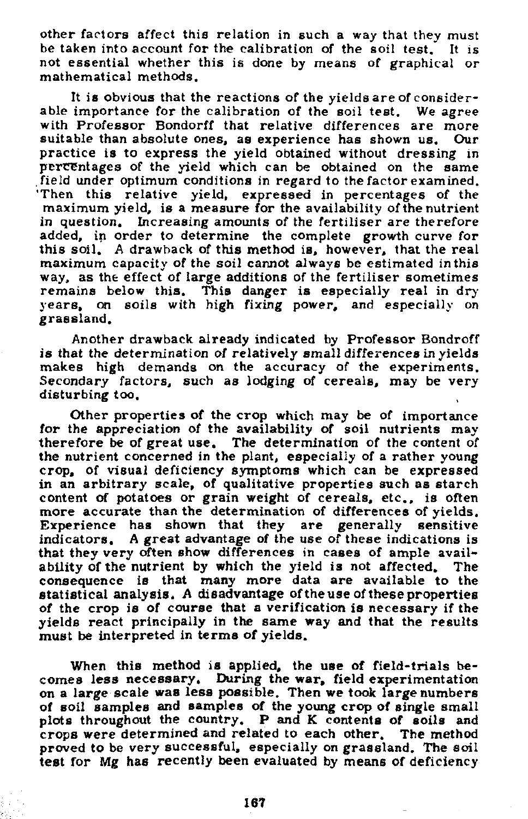other factors affect this relation in such a way that they must be taken into account for the calibration of the soil test. It is not essential whether this is done by means of graphical or mathematical methods.

It is obvious that the reactions of the yields are of considerable importance for the calibration of the soil test. We agree with Professor Bondorff that relative differences are more suitable than absolute ones, as experience has shown us. Our practice is to express the yield obtained without dressing in percentages of the yield which can be obtained on the same field under optimum conditions in regard to the factor examined. 'Then this relative yield, expressed in percentages of the maximum yield, is a measure for the availability of the nutrient in question. Increasing amounts of the fertiliser are therefore added, in order to determine the complete growth curve for this soil. A drawback of this method is, however, that the real maximum capacity of the soil cannot always be estimated in this way, as the effect of large additions of the fertiliser sometimes remains below this. This danger is especially real in dry years, on soils with high fixing power, and especially on grassland.

Another drawback already indicated by Professor Bondroff is that the determination of relatively small differences in yields makes high demands on the accuracy of the experiments. Secondary factors, such as lodging of cereals, may be very disturbing too.

Other properties of the crop which may be of importance for the appreciation of the availability of soil nutrients may therefore be of great use. The determination of the content of the nutrient concerned in the plant, especially of a rather young crop, of visual deficiency symptoms which can be expressed in an arbitrary scale, of qualitative properties such as starch content of potatoes or grain weight of cereals, etc., is often more accurate than the determination of differences of yields. Experience has shown that they are generally sensitive indicators. A great advantage of the use of these indications is that they very often show differences in cases of ample availability of the nutrient by which the yield is not affected. The consequence is that many more data are available to the statistical analysis. A disadvantage of the use of these properties of the crop is of course that a verification is necessary if the yields react principally in the same way and that the results must be interpreted in terms of yields.

When this method is applied, the use of field-trials becomes less necessary. During the war, field experimentation on a large scale was less possible. Then we took large numbers of soil samples and samples of the young crop of single small plots throughout the country, P and K contents of soils and crops were determined and related to each other. The method proved to be very successful, especially on grassland. The soil test for Mg has recently been evaluated by means of deficiency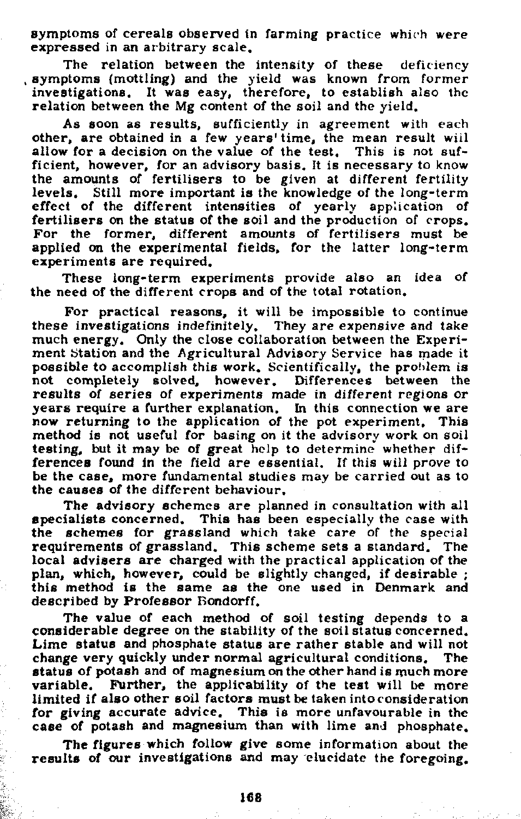Symptoms of cereals observed in farming practice which were expressed in an arbitrary scale.

The relation between the intensity of these deficiency , symptoms (mottling) and the yield was known from former investigations. It was easy, therefore, to establish also the relation between the Mg content of the soil and the yield.

As soon as results, sufficiently in agreement with other, are obtained in a few years' time, the mean result allow for a decision on the value of the test. This is not sufficient, however, for an advisory basis. It is necessary to know the amounts of fertilisers to be given at different fertility levels. Still more important is the knowledge of the long-term effect of the different intensities of yearly application of fertilisers on the status of the soil and the production of crops. For the former, different amounts of fertilisers mus applied on the experimental fields, for the latter longexperiments are required.

These long-term experiments provide also an idea of the need of the different crops and of the total rotation.

For practical reasons, it will be impossible to continue these investigations indefinitely. They are expensive and take much energy. Only the close collaboration between the Experiment Station and the Agricultural Advisory Service has made it possible to accomplish this work. Scientifically, the problem is not completely solved, however. Differences between the results of series of experiments made in different regions or years require a further explanation. In this connection we now returning to the application of the pot experiment. method is not useful for basing on it the advisory work on soil testing, but it may be of great help to determine whether differences found in the field are essential. If this will prove to be the case, more fundamental studies may be carried out as to the causes of the different behaviour.

The advisory schemes are planned in consultation with all specialists concerned. This has been especially the case with the schemes for grassland which take care of the special requirements of grassland. This scheme sets a standard. The local advisers are charged with the practical application of the plan, which, however, could be slightly changed, if desirable ; this method is the same as the one used in Denmark and described by Professor Bondorff.

The value of each method of soil testing depends to a considerable degree on the stability of the soil status concerned. Lime status and phosphate status are rather stable and will not change very quickly under normal agricultural conditions. The status of potash and of magnesium on the other hand is much more variable. Further, the applicability of the test will be more limited if also other soil factors must be taken into consideration for giving accurate advice. This is more unfavourable in the case of potash and magnesium than with lime and phosphate.

The figures which follow give some information about the results of our investigations and may elucidate the foregoing.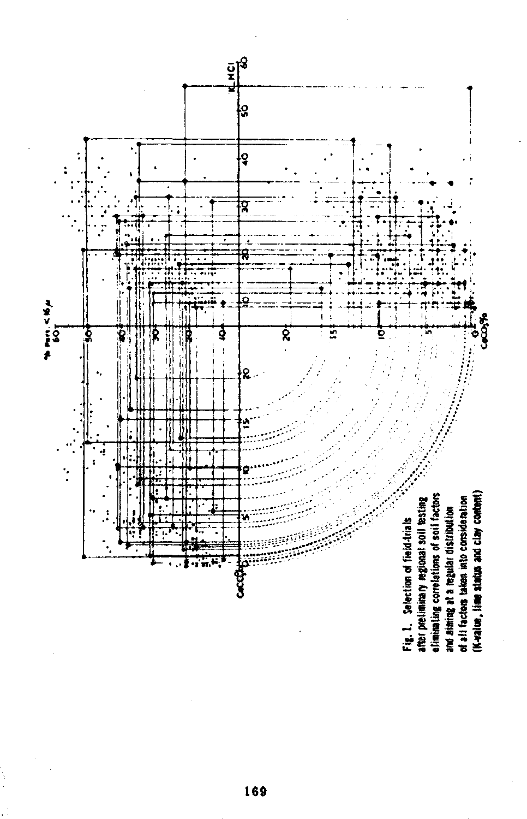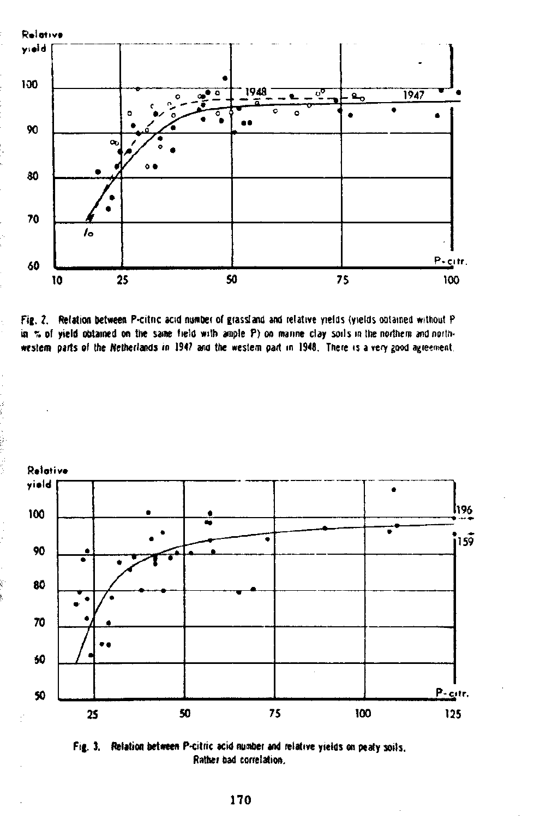





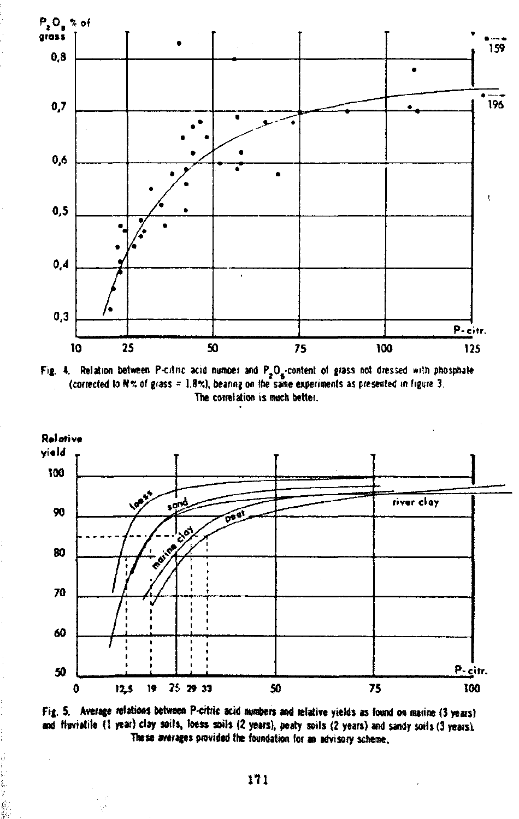





Fig. 5. Average relations between P-citric acid numbers and relative yields as found on marine (3 years) and fluviatile (1 year) clay soils, loess soils (2 years), peaty soils (2 years) and sandy soils (3 years). These averages provided the foundation for an advisory scheme,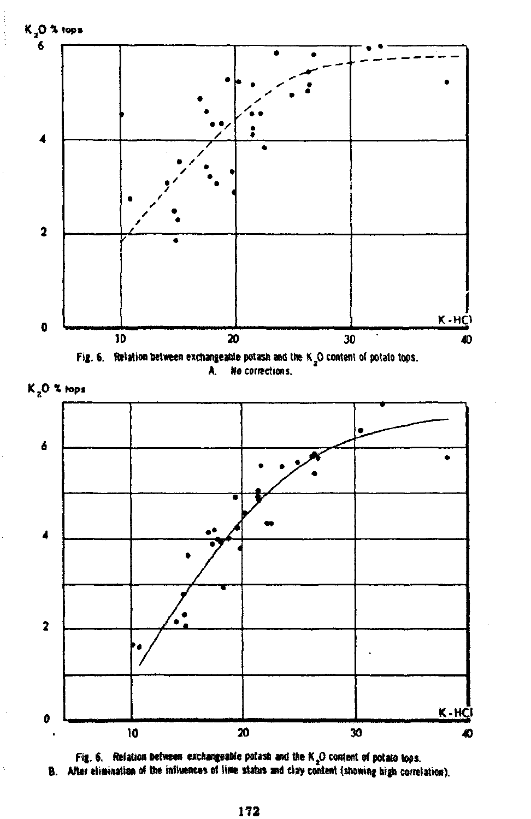









B. After <del>elimination of the influences of line</del> status and clay content (showing high corr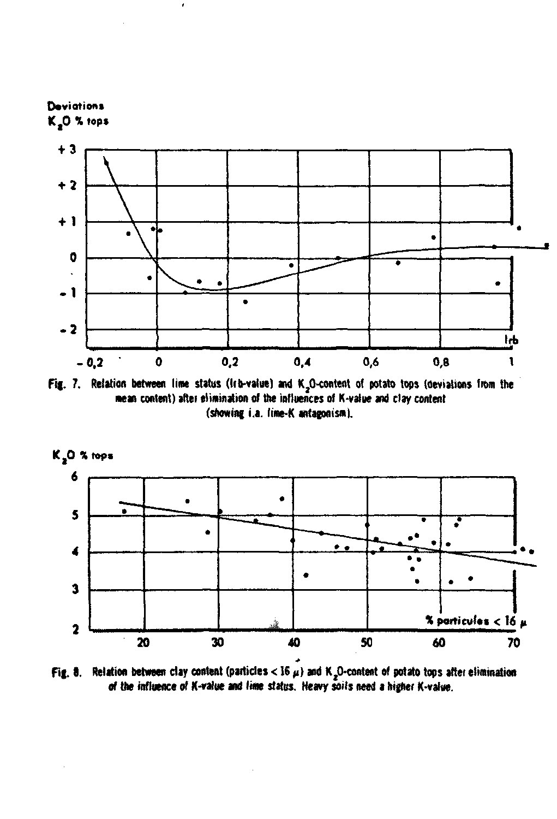

Fig. 7. Relation between line status (Irb-value) and K<sub>2</sub>O-content of potato tops (deviations from the mean content) after elimination of the influences of K-value and clay content (showing i.a. lime-K antagonism).



Fig. 8. Relation between clay content (particles < 16  $\mu$ ) and K<sub>2</sub>O-content of potato tops after elimination of the influence of K-value and lime status. Heavy soils need a higher K-value.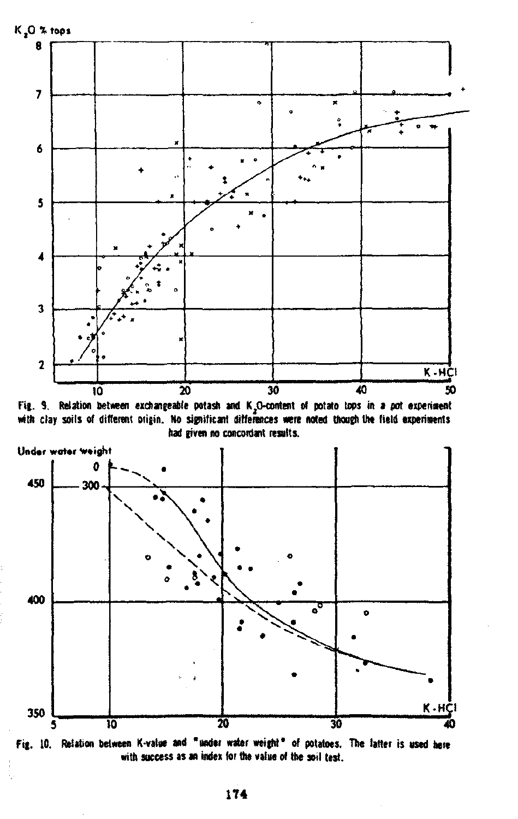

Fig. 9. Relation between exchangeable potash and K<sub>a</sub>O-content of potato tops in a pot experiment with clay soils of different origin. No significant differences were noted though the field experiments had given no concordant results.



Fig. 10. Relation between K-value and "under water weight" of potatoes. The latter is used here with success as an index for the value of the soil test.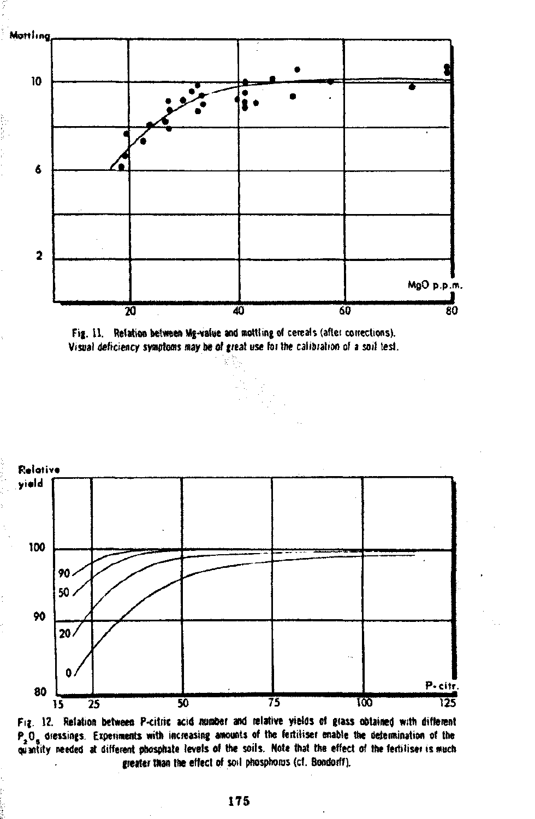